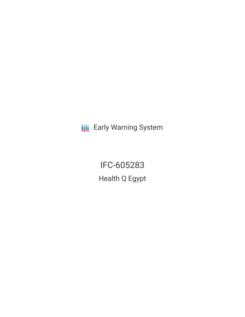**III** Early Warning System

IFC-605283 Health Q Egypt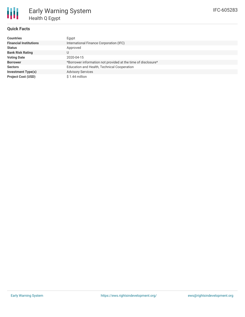### **Quick Facts**

| <b>Countries</b>              | Egypt                                                         |
|-------------------------------|---------------------------------------------------------------|
| <b>Financial Institutions</b> | International Finance Corporation (IFC)                       |
| <b>Status</b>                 | Approved                                                      |
| <b>Bank Risk Rating</b>       |                                                               |
| <b>Voting Date</b>            | 2020-04-15                                                    |
| <b>Borrower</b>               | *Borrower information not provided at the time of disclosure* |
| <b>Sectors</b>                | Education and Health, Technical Cooperation                   |
| <b>Investment Type(s)</b>     | <b>Advisory Services</b>                                      |
| <b>Project Cost (USD)</b>     | $$1.44$ million                                               |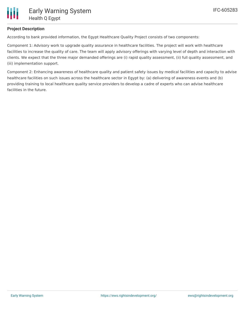

## **Project Description**

According to bank provided information, the Egypt Healthcare Quality Project consists of two components:

Component 1: Advisory work to upgrade quality assurance in healthcare facilities. The project will work with healthcare facilities to increase the quality of care. The team will apply advisory offerings with varying level of depth and interaction with clients. We expect that the three major demanded offerings are (i) rapid quality assessment, (ii) full quality assessment, and (iii) implementation support.

Component 2: Enhancing awareness of healthcare quality and patient safety issues by medical facilities and capacity to advise healthcare facilities on such issues across the healthcare sector in Egypt by: (a) delivering of awareness events and (b) providing training to local healthcare quality service providers to develop a cadre of experts who can advise healthcare facilities in the future.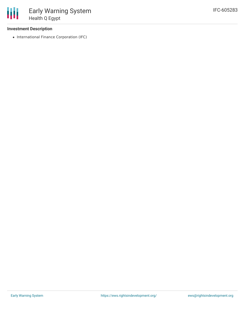### **Investment Description**

• International Finance Corporation (IFC)